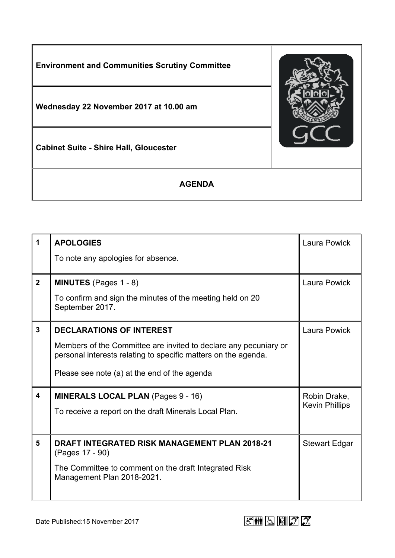

| $\mathbf 1$    | <b>APOLOGIES</b><br>To note any apologies for absence.                                                                                                                                                                | Laura Powick                          |
|----------------|-----------------------------------------------------------------------------------------------------------------------------------------------------------------------------------------------------------------------|---------------------------------------|
| $\overline{2}$ | <b>MINUTES</b> (Pages 1 - 8)<br>To confirm and sign the minutes of the meeting held on 20<br>September 2017.                                                                                                          | Laura Powick                          |
| $\mathbf{3}$   | <b>DECLARATIONS OF INTEREST</b><br>Members of the Committee are invited to declare any pecuniary or<br>personal interests relating to specific matters on the agenda.<br>Please see note (a) at the end of the agenda | <b>Laura Powick</b>                   |
| 4              | <b>MINERALS LOCAL PLAN (Pages 9 - 16)</b><br>To receive a report on the draft Minerals Local Plan.                                                                                                                    | Robin Drake,<br><b>Kevin Phillips</b> |
| 5              | <b>DRAFT INTEGRATED RISK MANAGEMENT PLAN 2018-21</b><br>(Pages 17 - 90)<br>The Committee to comment on the draft Integrated Risk<br>Management Plan 2018-2021.                                                        | <b>Stewart Edgar</b>                  |

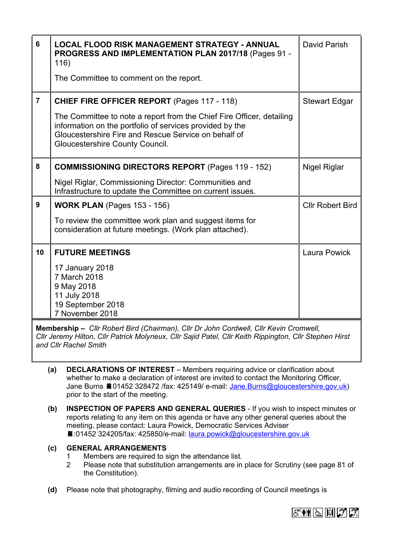| 6              | <b>LOCAL FLOOD RISK MANAGEMENT STRATEGY - ANNUAL</b><br><b>PROGRESS AND IMPLEMENTATION PLAN 2017/18 (Pages 91 -</b><br>116)<br>The Committee to comment on the report.                                                                                                             | David Parish            |
|----------------|------------------------------------------------------------------------------------------------------------------------------------------------------------------------------------------------------------------------------------------------------------------------------------|-------------------------|
| $\overline{7}$ | <b>CHIEF FIRE OFFICER REPORT (Pages 117 - 118)</b><br>The Committee to note a report from the Chief Fire Officer, detailing<br>information on the portfolio of services provided by the<br>Gloucestershire Fire and Rescue Service on behalf of<br>Gloucestershire County Council. | <b>Stewart Edgar</b>    |
| 8              | <b>COMMISSIONING DIRECTORS REPORT (Pages 119 - 152)</b><br>Nigel Riglar, Commissioning Director: Communities and<br>Infrastructure to update the Committee on current issues.                                                                                                      | Nigel Riglar            |
| 9              | <b>WORK PLAN</b> (Pages 153 - 156)<br>To review the committee work plan and suggest items for<br>consideration at future meetings. (Work plan attached).                                                                                                                           | <b>CIIr Robert Bird</b> |
| 10             | <b>FUTURE MEETINGS</b><br>17 January 2018<br>7 March 2018<br>9 May 2018<br>11 July 2018<br>19 September 2018<br>7 November 2018                                                                                                                                                    | <b>Laura Powick</b>     |

**Membership –** *Cllr Robert Bird (Chairman), Cllr Dr John Cordwell, Cllr Kevin Cromwell, Cllr Jeremy Hilton, Cllr Patrick Molyneux, Cllr Sajid Patel, Cllr Keith Rippington, Cllr Stephen Hirst and Cllr Rachel Smith*

- **(a) DECLARATIONS OF INTEREST** Members requiring advice or clarification about whether to make a declaration of interest are invited to contact the Monitoring Officer, Jane Burns 201452 328472 /fax: 425149/ e-mail: [Jane.Burns@gloucestershire.gov.uk\)](mailto:Jane.Burns@gloucestershire.gov.uk) prior to the start of the meeting.
- **(b) INSPECTION OF PAPERS AND GENERAL QUERIES** If you wish to inspect minutes or reports relating to any item on this agenda or have any other general queries about the meeting, please contact: Laura Powick, Democratic Services Adviser :01452 324205/fax: 425850/e-mail: [laura.powick@gloucestershire.gov.uk](mailto:laura.powick@gloucestershire.gov.uk)

## **(c) GENERAL ARRANGEMENTS**

- 1 Members are required to sign the attendance list.<br>2 Please note that substitution arrangements are in
- 2 Please note that substitution arrangements are in place for Scrutiny (see page 81 of the Constitution).
- **(d)** Please note that photography, filming and audio recording of Council meetings is